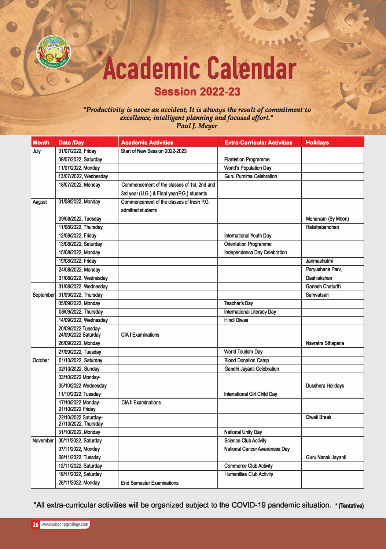

## **Session 2022-23**

## *"Productivity is never an accident; It is always the result of commitment to excellence, intelligent planning and focused effort." Paul J. Meyer*

| <b>Month</b>    | Date /Day                                    | <b>Academic Activities</b>                  | <b>Extra-Curricular Activities</b>   | <b>Holidays</b>          |
|-----------------|----------------------------------------------|---------------------------------------------|--------------------------------------|--------------------------|
| July            | 01/07/2022, Friday                           | Start of New Session 2022-2023              |                                      |                          |
|                 | 09/07/2022, Saturday                         |                                             | <b>Plantation Programme</b>          |                          |
|                 | 11/07/2022, Monday                           |                                             | <b>World's Population Day</b>        |                          |
|                 | 13/07/2022, Wednesday                        |                                             | <b>Guru Purnima Celebration</b>      |                          |
|                 | 18/07/2022, Monday                           | Commencement of the classes of 1st, 2nd and |                                      |                          |
|                 |                                              | 3rd year (U.G.) & Final year(P.G.) students |                                      |                          |
| August          | 01/08/2022, Monday                           | Commencement of the classes of fresh P.G.   |                                      |                          |
|                 |                                              | admitted students                           |                                      |                          |
|                 | 09/08/2022, Tuesday                          |                                             |                                      | Moharram (By Moon)       |
|                 | 11/08/2022, Thursday                         |                                             |                                      | Rakshabandhan            |
|                 | 12/08/2022, Friday                           |                                             | <b>International Youth Day</b>       |                          |
|                 | 13/08/2022, Saturday                         |                                             | <b>Orientation Programme</b>         |                          |
|                 | 15/08/2022, Monday                           |                                             | Independence Day Celebration         |                          |
|                 | 19/08/2022, Friday                           |                                             |                                      | Janmashatmi              |
|                 | 24/08/2022, Monday -                         |                                             |                                      | Paryushana Parv,         |
|                 | 31/08/2022. Wednesday                        |                                             |                                      | Dashlakshan              |
|                 | 31/08/2022. Wednesday                        |                                             |                                      | <b>Ganesh Chaturthi</b>  |
| September       | 01/09/2022, Thursday                         |                                             |                                      | Samvatsari               |
|                 | 05/09/2022, Monday                           |                                             | <b>Teacher's Day</b>                 |                          |
|                 | 08/09/2022, Thursday                         |                                             | <b>International Literacy Day</b>    |                          |
|                 | 14/09/2022, Wednesday                        |                                             | <b>Hindi Diwas</b>                   |                          |
|                 | 20/09/2022 Tuesday-<br>24/09/2022 Saturday   | <b>CIA I Examinations</b>                   |                                      |                          |
|                 | 26/09/2022, Monday                           |                                             |                                      | Navratra Sthapana        |
|                 | 27/09/2022, Tuesday                          |                                             | <b>World Tourism Day</b>             |                          |
| October         | 01/10/2022, Saturday                         |                                             | <b>Blood Donation Camp</b>           |                          |
|                 | 02/10/2022, Sunday                           |                                             | Gandhi Jayanti Celebration           |                          |
|                 | 03/10/2022 Monday-                           |                                             |                                      |                          |
|                 | 05/10/2022 Wednesday                         |                                             |                                      | <b>Dusshera Holidays</b> |
|                 | 11/10/2022, Tuesday                          |                                             | <b>Intenational Girl Child Day</b>   |                          |
|                 | 17/10/2022 Monday-<br>21/10/2022 Friday      | <b>CIA II Examinations</b>                  |                                      |                          |
|                 | 22/10/2022 Saturday-<br>27/10/2022, Thursday |                                             |                                      | Diwali Break             |
|                 | 31/10/2022, Monday                           |                                             | <b>National Unity Day</b>            |                          |
| <b>November</b> | 05/11/2022, Saturday                         |                                             | <b>Science Club Activity</b>         |                          |
|                 | 07/11/2022, Monday                           |                                             | <b>National Cancer Awareness Day</b> |                          |
|                 | 08/11/2022, Tuesday                          |                                             |                                      | Guru Nanak Jayanti       |
|                 | 12/11/2022, Saturday                         |                                             | <b>Commerce Club Activity</b>        |                          |
|                 | 19/11/2022, Saturday                         |                                             | <b>Humanities Club Activity</b>      |                          |
|                 | 28/11/2022, Monday                           | <b>End Semester Examinations</b>            |                                      |                          |

"All extra-curricular activities will be organized subject to the COVID-19 pandemic situation. \* (Tentative)